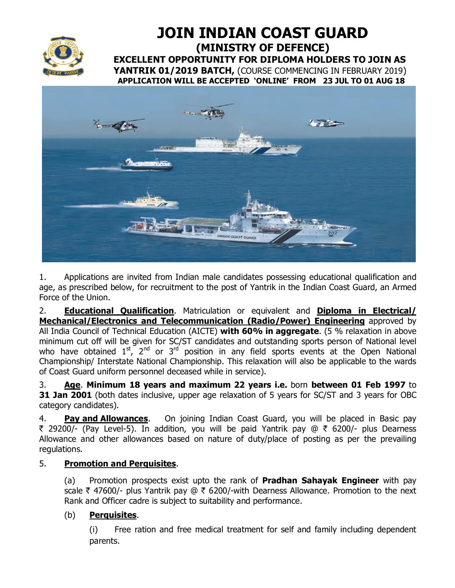

**JOIN INDIAN COAST GUARD (MINISTRY OF DEFENCE) EXCELLENT OPPORTUNITY FOR DIPLOMA HOLDERS TO JOIN AS YANTRIK 01/2019 BATCH,** (COURSE COMMENCING IN FEBRUARY 2019)  **APPLICATION WILL BE ACCEPTED 'ONLINE' FROM 23 JUL TO 01 AUG 18**



1. Applications are invited from Indian male candidates possessing educational qualification and age, as prescribed below, for recruitment to the post of Yantrik in the Indian Coast Guard, an Armed Force of the Union.

2. **Educational Qualification**. Matriculation or equivalent and **Diploma in Electrical/ Mechanical/Electronics and Telecommunication (Radio/Power) Engineering** approved by All India Council of Technical Education (AICTE) **with 60% in aggregate**. (5 % relaxation in above minimum cut off will be given for SC/ST candidates and outstanding sports person of National level who have obtained  $1^{st}$ ,  $2^{nd}$  or  $3^{rd}$  position in any field sports events at the Open National Championship/ Interstate National Championship. This relaxation will also be applicable to the wards of Coast Guard uniform personnel deceased while in service).

3. **Age**. **Minimum 18 years and maximum 22 years i.e.** born **between 01 Feb 1997** to **31 Jan 2001** (both dates inclusive, upper age relaxation of 5 years for SC/ST and 3 years for OBC category candidates).

4. **Pay and Allowances**. On joining Indian Coast Guard, you will be placed in Basic pay ₹ 29200/- (Pay Level-5). In addition, you will be paid Yantrik pay @ ₹ 6200/- plus Dearness Allowance and other allowances based on nature of duty/place of posting as per the prevailing regulations.

# 5. **Promotion and Perquisites**.

(a) Promotion prospects exist upto the rank of **Pradhan Sahayak Engineer** with pay scale  $\bar{\tau}$  47600/- plus Yantrik pay @  $\bar{\tau}$  6200/-with Dearness Allowance. Promotion to the next Rank and Officer cadre is subject to suitability and performance.

# (b) **Perquisites**.

(i) Free ration and free medical treatment for self and family including dependent parents.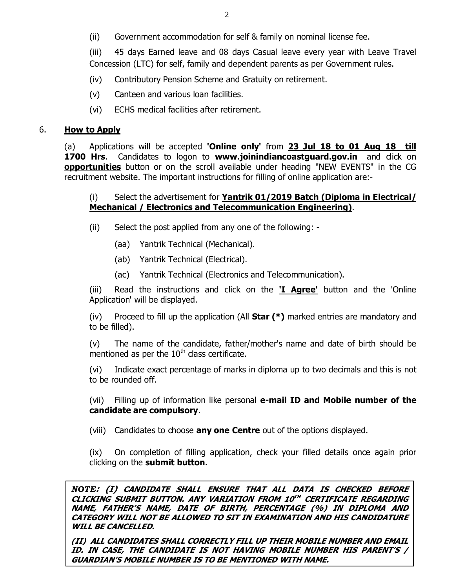(ii) Government accommodation for self & family on nominal license fee.

(iii) 45 days Earned leave and 08 days Casual leave every year with Leave Travel Concession (LTC) for self, family and dependent parents as per Government rules.

- (iv) Contributory Pension Scheme and Gratuity on retirement.
- (v) Canteen and various loan facilities.
- (vi) ECHS medical facilities after retirement.

## 6. **How to Apply**

(a) Applications will be accepted **'Online only'** from **23 Jul 18 to 01 Aug 18 till 1700 Hrs**.Candidates to logon to **www.joinindiancoastguard.gov.in** and click on **opportunities** button or on the scroll available under heading "NEW EVENTS" in the CG recruitment website. The important instructions for filling of online application are:-

## (i) Select the advertisement for **Yantrik 01/2019 Batch (Diploma in Electrical/ Mechanical / Electronics and Telecommunication Engineering)**.

(ii) Select the post applied from any one of the following: -

- (aa) Yantrik Technical (Mechanical).
- (ab) Yantrik Technical (Electrical).
- (ac) Yantrik Technical (Electronics and Telecommunication).

(iii) Read the instructions and click on the **'I Agree'** button and the 'Online Application' will be displayed.

(iv) Proceed to fill up the application (All **Star (\*)** marked entries are mandatory and to be filled).

(v) The name of the candidate, father/mother's name and date of birth should be mentioned as per the  $10<sup>th</sup>$  class certificate.

(vi) Indicate exact percentage of marks in diploma up to two decimals and this is not to be rounded off.

(vii) Filling up of information like personal **e-mail ID and Mobile number of the candidate are compulsory**.

(viii) Candidates to choose **any one Centre** out of the options displayed.

(ix) On completion of filling application, check your filled details once again prior clicking on the **submit button**.

*NOTE***: (I) CANDIDATE SHALL ENSURE THAT ALL DATA IS CHECKED BEFORE CLICKING SUBMIT BUTTON. ANY VARIATION FROM 10TH CERTIFICATE REGARDING NAME, FATHER'S NAME, DATE OF BIRTH, PERCENTAGE (%) IN DIPLOMA AND CATEGORY WILL NOT BE ALLOWED TO SIT IN EXAMINATION AND HIS CANDIDATURE WILL BE CANCELLED.** 

**(II) ALL CANDIDATES SHALL CORRECTLY FILL UP THEIR MOBILE NUMBER AND EMAIL ID. IN CASE, THE CANDIDATE IS NOT HAVING MOBILE NUMBER HIS PARENT'S / GUARDIAN'S MOBILE NUMBER IS TO BE MENTIONED WITH NAME.**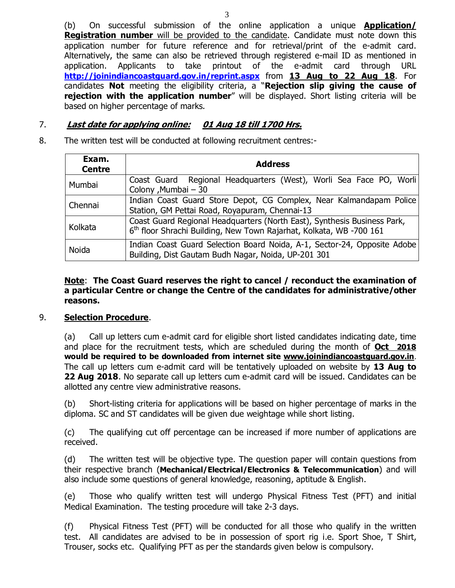(b) On successful submission of the online application a unique **Application/ Registration number** will be provided to the candidate. Candidate must note down this application number for future reference and for retrieval/print of the e-admit card. Alternatively, the same can also be retrieved through registered e-mail ID as mentioned in application. Applicants to take printout of the e-admit card through URL **http://joinindiancoastguard.gov.in/reprint.aspx** from **13 Aug to 22 Aug 18**. For candidates **Not** meeting the eligibility criteria, a "**Rejection slip giving the cause of rejection with the application number**" will be displayed. Short listing criteria will be based on higher percentage of marks.

## 7. **Last date for applying online: 01 Aug 18 till 1700 Hrs.**

8. The written test will be conducted at following recruitment centres:-

| Exam.<br><b>Centre</b> | <b>Address</b>                                                                                                                                              |
|------------------------|-------------------------------------------------------------------------------------------------------------------------------------------------------------|
| Mumbai                 | Coast Guard Regional Headquarters (West), Worli Sea Face PO, Worli<br>Colony, Mumbai - 30                                                                   |
| Chennai                | Indian Coast Guard Store Depot, CG Complex, Near Kalmandapam Police<br>Station, GM Pettai Road, Royapuram, Chennai-13                                       |
| Kolkata                | Coast Guard Regional Headquarters (North East), Synthesis Business Park,<br>6 <sup>th</sup> floor Shrachi Building, New Town Rajarhat, Kolkata, WB -700 161 |
| Noida                  | Indian Coast Guard Selection Board Noida, A-1, Sector-24, Opposite Adobe<br>Building, Dist Gautam Budh Nagar, Noida, UP-201 301                             |

## **Note**: **The Coast Guard reserves the right to cancel / reconduct the examination of a particular Centre or change the Centre of the candidates for administrative/other reasons.**

#### 9. **Selection Procedure**.

(a) Call up letters cum e-admit card for eligible short listed candidates indicating date, time and place for the recruitment tests, which are scheduled during the month of **Oct 2018 would be required to be downloaded from internet site www.joinindiancoastguard.gov.in**. The call up letters cum e-admit card will be tentatively uploaded on website by **13 Aug to 22 Aug 2018**. No separate call up letters cum e-admit card will be issued. Candidates can be allotted any centre view administrative reasons.

(b) Short-listing criteria for applications will be based on higher percentage of marks in the diploma. SC and ST candidates will be given due weightage while short listing.

(c) The qualifying cut off percentage can be increased if more number of applications are received.

(d) The written test will be objective type. The question paper will contain questions from their respective branch (**Mechanical/Electrical/Electronics & Telecommunication**) and will also include some questions of general knowledge, reasoning, aptitude & English.

(e) Those who qualify written test will undergo Physical Fitness Test (PFT) and initial Medical Examination. The testing procedure will take 2-3 days.

(f) Physical Fitness Test (PFT) will be conducted for all those who qualify in the written test. All candidates are advised to be in possession of sport rig i.e. Sport Shoe, T Shirt, Trouser, socks etc. Qualifying PFT as per the standards given below is compulsory.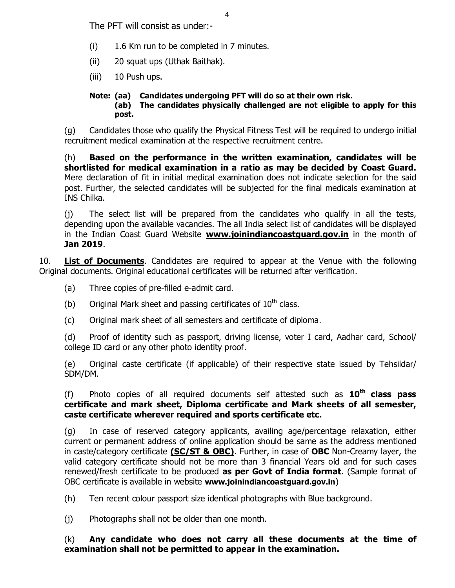The PFT will consist as under:-

- (i) 1.6 Km run to be completed in 7 minutes.
- (ii) 20 squat ups (Uthak Baithak).
- (iii) 10 Push ups.

#### **Note: (aa) Candidates undergoing PFT will do so at their own risk. (ab) The candidates physically challenged are not eligible to apply for this post.**

(g) Candidates those who qualify the Physical Fitness Test will be required to undergo initial recruitment medical examination at the respective recruitment centre.

(h) **Based on the performance in the written examination, candidates will be shortlisted for medical examination in a ratio as may be decided by Coast Guard.** Mere declaration of fit in initial medical examination does not indicate selection for the said post. Further, the selected candidates will be subjected for the final medicals examination at INS Chilka.

(j) The select list will be prepared from the candidates who qualify in all the tests, depending upon the available vacancies. The all India select list of candidates will be displayed in the Indian Coast Guard Website **www.joinindiancoastguard.gov.in** in the month of **Jan 2019**.

10. **List of Documents**. Candidates are required to appear at the Venue with the following Original documents. Original educational certificates will be returned after verification.

- (a) Three copies of pre-filled e-admit card.
- (b) Original Mark sheet and passing certificates of  $10^{th}$  class.
- (c) Original mark sheet of all semesters and certificate of diploma.

(d) Proof of identity such as passport, driving license, voter I card, Aadhar card, School/ college ID card or any other photo identity proof.

(e) Original caste certificate (if applicable) of their respective state issued by Tehsildar/ SDM/DM.

(f) Photo copies of all required documents self attested such as **10th class pass certificate and mark sheet, Diploma certificate and Mark sheets of all semester, caste certificate wherever required and sports certificate etc.**

(g) In case of reserved category applicants, availing age/percentage relaxation, either current or permanent address of online application should be same as the address mentioned in caste/category certificate **(SC/ST & OBC)**. Further, in case of **OBC** Non-Creamy layer, the valid category certificate should not be more than 3 financial Years old and for such cases renewed/fresh certificate to be produced **as per Govt of India format**. (Sample format of OBC certificate is available in website **www.joinindiancoastguard.gov.in**)

(h) Ten recent colour passport size identical photographs with Blue background.

(j) Photographs shall not be older than one month.

(k) **Any candidate who does not carry all these documents at the time of examination shall not be permitted to appear in the examination.**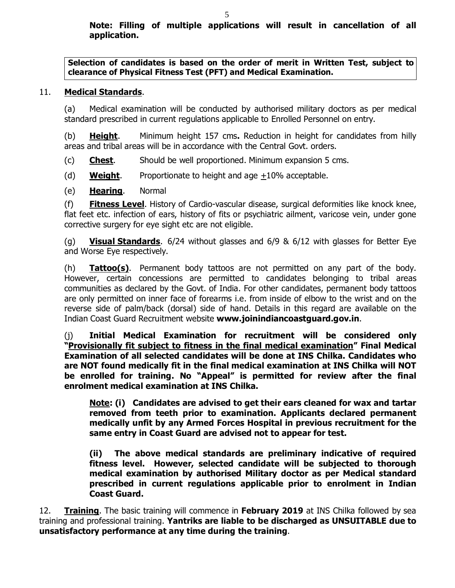**Selection of candidates is based on the order of merit in Written Test, subject to clearance of Physical Fitness Test (PFT) and Medical Examination.** 

# 11. **Medical Standards**.

(a) Medical examination will be conducted by authorised military doctors as per medical standard prescribed in current regulations applicable to Enrolled Personnel on entry.

(b) **Height**. Minimum height 157 cms**.** Reduction in height for candidates from hilly areas and tribal areas will be in accordance with the Central Govt. orders.

(c) **Chest**. Should be well proportioned. Minimum expansion 5 cms.

(d) **Weight**. Proportionate to height and age +10% acceptable.

(e) **Hearing**. Normal

(f) **Fitness Level**. History of Cardio-vascular disease, surgical deformities like knock knee, flat feet etc. infection of ears, history of fits or psychiatric ailment, varicose vein, under gone corrective surgery for eye sight etc are not eligible.

(g) **Visual Standards**. 6/24 without glasses and 6/9 & 6/12 with glasses for Better Eye and Worse Eye respectively.

(h) **Tattoo(s)**. Permanent body tattoos are not permitted on any part of the body. However, certain concessions are permitted to candidates belonging to tribal areas communities as declared by the Govt. of India. For other candidates, permanent body tattoos are only permitted on inner face of forearms i.e. from inside of elbow to the wrist and on the reverse side of palm/back (dorsal) side of hand. Details in this regard are available on the Indian Coast Guard Recruitment website **www.joinindiancoastguard.gov.in**.

(j) **Initial Medical Examination for recruitment will be considered only "Provisionally fit subject to fitness in the final medical examination" Final Medical Examination of all selected candidates will be done at INS Chilka. Candidates who are NOT found medically fit in the final medical examination at INS Chilka will NOT be enrolled for training. No "Appeal" is permitted for review after the final enrolment medical examination at INS Chilka.**

**Note: (i) Candidates are advised to get their ears cleaned for wax and tartar removed from teeth prior to examination. Applicants declared permanent medically unfit by any Armed Forces Hospital in previous recruitment for the same entry in Coast Guard are advised not to appear for test.**

**(ii) The above medical standards are preliminary indicative of required fitness level. However, selected candidate will be subjected to thorough medical examination by authorised Military doctor as per Medical standard prescribed in current regulations applicable prior to enrolment in Indian Coast Guard.**

12. **Training**. The basic training will commence in **February 2019** at INS Chilka followed by sea training and professional training. **Yantriks are liable to be discharged as UNSUITABLE due to unsatisfactory performance at any time during the training**.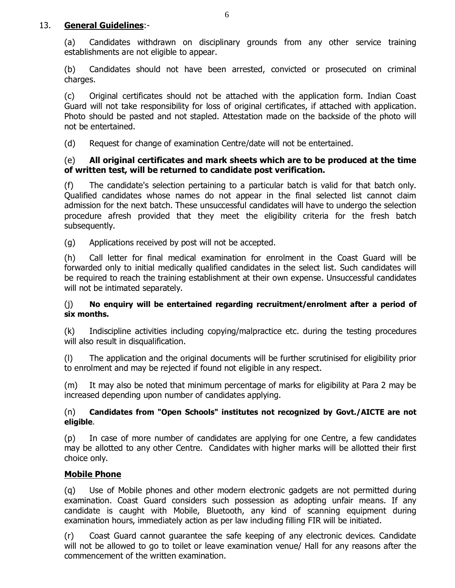## 13. **General Guidelines**:-

(a) Candidates withdrawn on disciplinary grounds from any other service training establishments are not eligible to appear.

(b) Candidates should not have been arrested, convicted or prosecuted on criminal charges.

(c) Original certificates should not be attached with the application form. Indian Coast Guard will not take responsibility for loss of original certificates, if attached with application. Photo should be pasted and not stapled. Attestation made on the backside of the photo will not be entertained.

(d) Request for change of examination Centre/date will not be entertained.

#### (e) **All original certificates and mark sheets which are to be produced at the time of written test, will be returned to candidate post verification.**

(f) The candidate's selection pertaining to a particular batch is valid for that batch only. Qualified candidates whose names do not appear in the final selected list cannot claim admission for the next batch. These unsuccessful candidates will have to undergo the selection procedure afresh provided that they meet the eligibility criteria for the fresh batch subsequently.

(g) Applications received by post will not be accepted.

(h) Call letter for final medical examination for enrolment in the Coast Guard will be forwarded only to initial medically qualified candidates in the select list. Such candidates will be required to reach the training establishment at their own expense. Unsuccessful candidates will not be intimated separately.

#### (j) **No enquiry will be entertained regarding recruitment/enrolment after a period of six months.**

(k) Indiscipline activities including copying/malpractice etc. during the testing procedures will also result in disqualification.

(l) The application and the original documents will be further scrutinised for eligibility prior to enrolment and may be rejected if found not eligible in any respect.

(m) It may also be noted that minimum percentage of marks for eligibility at Para 2 may be increased depending upon number of candidates applying.

## (n) **Candidates from "Open Schools" institutes not recognized by Govt./AICTE are not eligible**.

(p) In case of more number of candidates are applying for one Centre, a few candidates may be allotted to any other Centre. Candidates with higher marks will be allotted their first choice only.

## **Mobile Phone**

(q) Use of Mobile phones and other modern electronic gadgets are not permitted during examination. Coast Guard considers such possession as adopting unfair means. If any candidate is caught with Mobile, Bluetooth, any kind of scanning equipment during examination hours, immediately action as per law including filling FIR will be initiated.

(r) Coast Guard cannot guarantee the safe keeping of any electronic devices. Candidate will not be allowed to go to toilet or leave examination venue/ Hall for any reasons after the commencement of the written examination.